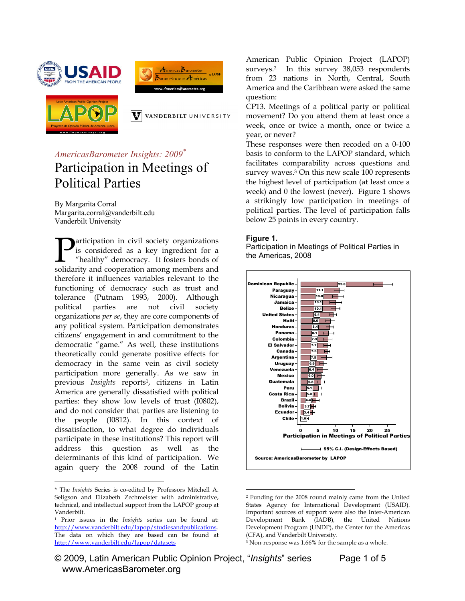





V VANDERBILT UNIVERSITY

# *AmericasBarometer Insights: 2009\** Participation in Meetings of Political Parties

By Margarita Corral Margarita.corral@vanderbilt.edu Vanderbilt University

articipation in civil society organizations is considered as a key ingredient for a "healthy" democracy. It fosters bonds of **P**articipation in civil society organizations<br>is considered as a key ingredient for a<br>"healthy" democracy. It fosters bonds of<br>solidarity and cooperation among members and therefore it influences variables relevant to the functioning of democracy such as trust and tolerance (Putnam 1993, 2000). Although political parties are not civil society organizations *per se*, they are core components of any political system. Participation demonstrates citizens' engagement in and commitment to the democratic "game." As well, these institutions theoretically could generate positive effects for democracy in the same vein as civil society participation more generally. As we saw in previous *Insights* reports1, citizens in Latin America are generally dissatisfied with political parties: they show low levels of trust (I0802), and do not consider that parties are listening to the people (I0812). In this context of dissatisfaction, to what degree do individuals participate in these institutions? This report will address this question as well as the determinants of this kind of participation. We again query the 2008 round of the Latin

 $\overline{a}$ 

American Public Opinion Project (LAPOP) surveys.2 In this survey 38,053 respondents from 23 nations in North, Central, South America and the Caribbean were asked the same question:

CP13. Meetings of a political party or political movement? Do you attend them at least once a week, once or twice a month, once or twice a year, or never?

These responses were then recoded on a 0-100 basis to conform to the LAPOP standard, which facilitates comparability across questions and survey waves.<sup>3</sup> On this new scale 100 represents the highest level of participation (at least once a week) and 0 the lowest (never). Figure 1 shows a strikingly low participation in meetings of political parties. The level of participation falls below 25 points in every country.

#### **Figure 1.**

Participation in Meetings of Political Parties in the Americas, 2008



 $\overline{a}$ 2 Funding for the 2008 round mainly came from the United States Agency for International Development (USAID). Important sources of support were also the Inter-American Development Bank (IADB), the United Nations Development Program (UNDP), the Center for the Americas (CFA), and Vanderbilt University.

<sup>\*</sup> The *Insights* Series is co-edited by Professors Mitchell A. Seligson and Elizabeth Zechmeister with administrative, technical, and intellectual support from the LAPOP group at Vanderbilt.

<sup>1</sup> Prior issues in the *Insights* series can be found at: http://www.vanderbilt.edu/lapop/studiesandpublications. The data on which they are based can be found at http://www.vanderbilt.edu/lapop/datasets

<sup>3</sup> Non-response was 1.66% for the sample as a whole.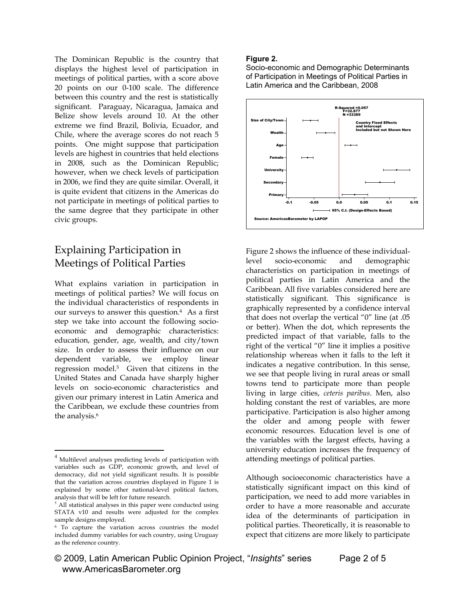The Dominican Republic is the country that displays the highest level of participation in meetings of political parties, with a score above 20 points on our 0-100 scale. The difference between this country and the rest is statistically significant. Paraguay, Nicaragua, Jamaica and Belize show levels around 10. At the other extreme we find Brazil, Bolivia, Ecuador, and Chile, where the average scores do not reach 5 points. One might suppose that participation levels are highest in countries that held elections in 2008, such as the Dominican Republic; however, when we check levels of participation in 2006, we find they are quite similar. Overall, it is quite evident that citizens in the Americas do not participate in meetings of political parties to the same degree that they participate in other civic groups.

## Explaining Participation in Meetings of Political Parties

What explains variation in participation in meetings of political parties? We will focus on the individual characteristics of respondents in our surveys to answer this question.4 As a first step we take into account the following socioeconomic and demographic characteristics: education, gender, age, wealth, and city/town size. In order to assess their influence on our dependent variable, we employ linear regression model.5 Given that citizens in the United States and Canada have sharply higher levels on socio-economic characteristics and given our primary interest in Latin America and the Caribbean, we exclude these countries from the analysis.<sup>6</sup>

 $\overline{a}$ 

### **Figure 2.**

Socio-economic and Demographic Determinants of Participation in Meetings of Political Parties in Latin America and the Caribbean, 2008



Figure 2 shows the influence of these individuallevel socio-economic and demographic characteristics on participation in meetings of political parties in Latin America and the Caribbean. All five variables considered here are statistically significant. This significance is graphically represented by a confidence interval that does not overlap the vertical "0" line (at .05 or better). When the dot, which represents the predicted impact of that variable, falls to the right of the vertical "0" line it implies a positive relationship whereas when it falls to the left it indicates a negative contribution. In this sense, we see that people living in rural areas or small towns tend to participate more than people living in large cities, *ceteris paribus*. Men, also holding constant the rest of variables, are more participative. Participation is also higher among the older and among people with fewer economic resources. Education level is one of the variables with the largest effects, having a university education increases the frequency of attending meetings of political parties.

Although socioeconomic characteristics have a statistically significant impact on this kind of participation, we need to add more variables in order to have a more reasonable and accurate idea of the determinants of participation in political parties. Theoretically, it is reasonable to expect that citizens are more likely to participate

<sup>&</sup>lt;sup>4</sup> Multilevel analyses predicting levels of participation with variables such as GDP, economic growth, and level of democracy, did not yield significant results. It is possible that the variation across countries displayed in Figure 1 is explained by some other national-level political factors, analysis that will be left for future research.

 $5$  All statistical analyses in this paper were conducted using STATA v10 and results were adjusted for the complex sample designs employed.

<sup>6</sup> To capture the variation across countries the model included dummy variables for each country, using Uruguay as the reference country.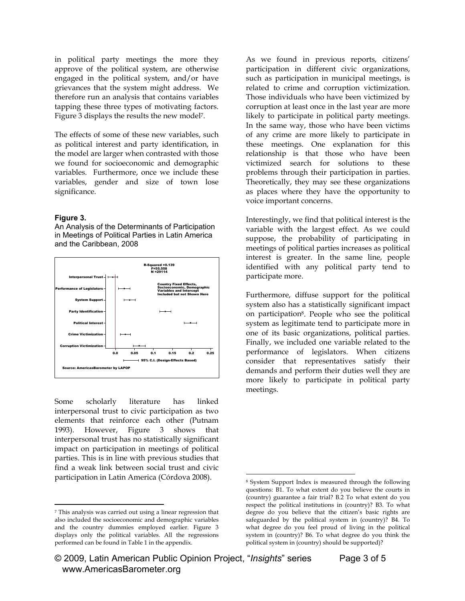in political party meetings the more they approve of the political system, are otherwise engaged in the political system, and/or have grievances that the system might address. We therefore run an analysis that contains variables tapping these three types of motivating factors. Figure 3 displays the results the new model7.

The effects of some of these new variables, such as political interest and party identification, in the model are larger when contrasted with those we found for socioeconomic and demographic variables. Furthermore, once we include these variables, gender and size of town lose significance.

#### **Figure 3.**

 $\overline{a}$ 

An Analysis of the Determinants of Participation in Meetings of Political Parties in Latin America and the Caribbean, 2008



Some scholarly literature has linked interpersonal trust to civic participation as two elements that reinforce each other (Putnam 1993). However, Figure 3 shows that interpersonal trust has no statistically significant impact on participation in meetings of political parties. This is in line with previous studies that find a weak link between social trust and civic participation in Latin America (Córdova 2008).

As we found in previous reports, citizens' participation in different civic organizations, such as participation in municipal meetings, is related to crime and corruption victimization. Those individuals who have been victimized by corruption at least once in the last year are more likely to participate in political party meetings. In the same way, those who have been victims of any crime are more likely to participate in these meetings. One explanation for this relationship is that those who have been victimized search for solutions to these problems through their participation in parties. Theoretically, they may see these organizations as places where they have the opportunity to voice important concerns.

Interestingly, we find that political interest is the variable with the largest effect. As we could suppose, the probability of participating in meetings of political parties increases as political interest is greater. In the same line, people identified with any political party tend to participate more.

Furthermore, diffuse support for the political system also has a statistically significant impact on participation8. People who see the political system as legitimate tend to participate more in one of its basic organizations, political parties. Finally, we included one variable related to the performance of legislators. When citizens consider that representatives satisfy their demands and perform their duties well they are more likely to participate in political party meetings.

 $\overline{a}$ 

<sup>7</sup> This analysis was carried out using a linear regression that also included the socioeconomic and demographic variables and the country dummies employed earlier. Figure 3 displays only the political variables. All the regressions performed can be found in Table 1 in the appendix.

<sup>8</sup> System Support Index is measured through the following questions: B1. To what extent do you believe the courts in (country) guarantee a fair trial? B.2 To what extent do you respect the political institutions in (country)? B3. To what degree do you believe that the citizen's basic rights are safeguarded by the political system in (country)? B4. To what degree do you feel proud of living in the political system in (country)? B6. To what degree do you think the political system in (country) should be supported)?

<sup>© 2009,</sup> Latin American Public Opinion Project, "*Insights*" series Page 3 of 5 www.AmericasBarometer.org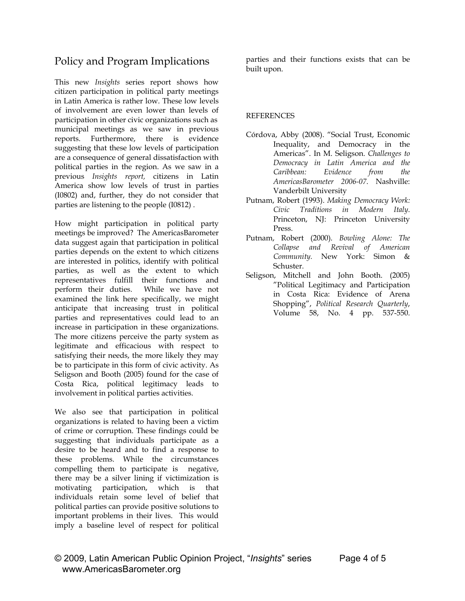## Policy and Program Implications

This new *Insights* series report shows how citizen participation in political party meetings in Latin America is rather low. These low levels of involvement are even lower than levels of participation in other civic organizations such as municipal meetings as we saw in previous reports. Furthermore, there is evidence suggesting that these low levels of participation are a consequence of general dissatisfaction with political parties in the region. As we saw in a previous *Insights report,* citizens in Latin America show low levels of trust in parties (I0802) and, further, they do not consider that parties are listening to the people (I0812) .

How might participation in political party meetings be improved? The AmericasBarometer data suggest again that participation in political parties depends on the extent to which citizens are interested in politics, identify with political parties, as well as the extent to which representatives fulfill their functions and perform their duties. While we have not examined the link here specifically, we might anticipate that increasing trust in political parties and representatives could lead to an increase in participation in these organizations. The more citizens perceive the party system as legitimate and efficacious with respect to satisfying their needs, the more likely they may be to participate in this form of civic activity. As Seligson and Booth (2005) found for the case of Costa Rica, political legitimacy leads to involvement in political parties activities.

We also see that participation in political organizations is related to having been a victim of crime or corruption. These findings could be suggesting that individuals participate as a desire to be heard and to find a response to these problems. While the circumstances compelling them to participate is negative, there may be a silver lining if victimization is motivating participation, which is that individuals retain some level of belief that political parties can provide positive solutions to important problems in their lives. This would imply a baseline level of respect for political parties and their functions exists that can be built upon.

### **REFERENCES**

- Córdova, Abby (2008). "Social Trust, Economic Inequality, and Democracy in the Americas". In M. Seligson. *Challenges to Democracy in Latin America and the Caribbean: Evidence from the AmericasBarometer 2006-07*. Nashville: Vanderbilt University
- Putnam, Robert (1993). *Making Democracy Work: Civic Traditions in Modern Italy*. Princeton, NJ: Princeton University Press.
- Putnam, Robert (2000). *Bowling Alone: The Collapse and Revival of American Community.* New York: Simon & Schuster.
- Seligson, Mitchell and John Booth. (2005) "Political Legitimacy and Participation in Costa Rica: Evidence of Arena Shopping", *Political Research Quarterly*, Volume 58, No. 4 pp. 537-550.